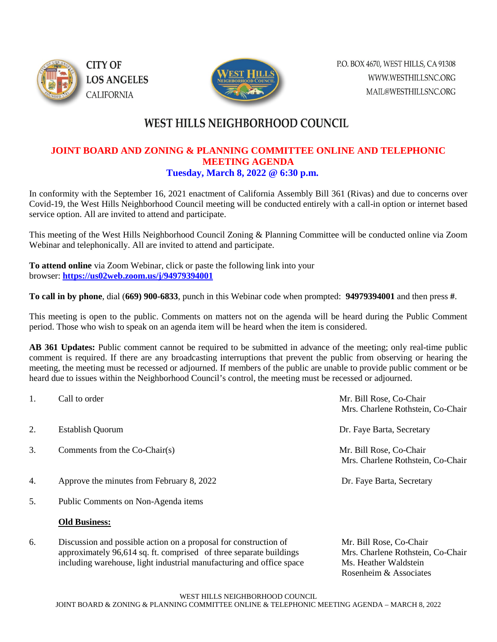



# **WEST HILLS NEIGHBORHOOD COUNCIL**

## **JOINT BOARD AND ZONING & PLANNING COMMITTEE ONLINE AND TELEPHONIC MEETING AGENDA Tuesday, March 8, 2022 @ 6:30 p.m.**

In conformity with the September 16, 2021 enactment of California Assembly Bill 361 (Rivas) and due to concerns over Covid-19, the West Hills Neighborhood Council meeting will be conducted entirely with a call-in option or internet based service option. All are invited to attend and participate.

This meeting of the West Hills Neighborhood Council Zoning & Planning Committee will be conducted online via Zoom Webinar and telephonically. All are invited to attend and participate.

**To attend online** via Zoom Webinar, click or paste the following link into your browser: **<https://us02web.zoom.us/j/94979394001>**

**To call in by phone**, dial (**669) 900-6833**, punch in this Webinar code when prompted: **94979394001** and then press **#**.

This meeting is open to the public. Comments on matters not on the agenda will be heard during the Public Comment period. Those who wish to speak on an agenda item will be heard when the item is considered.

**AB 361 Updates:** Public comment cannot be required to be submitted in advance of the meeting; only real-time public comment is required. If there are any broadcasting interruptions that prevent the public from observing or hearing the meeting, the meeting must be recessed or adjourned. If members of the public are unable to provide public comment or be heard due to issues within the Neighborhood Council's control, the meeting must be recessed or adjourned.

| $\mathbf{1}$ . | Call to order                                                                                                                                                                                                  | Mr. Bill Rose, Co-Chair<br>Mrs. Charlene Rothstein, Co-Chair                          |
|----------------|----------------------------------------------------------------------------------------------------------------------------------------------------------------------------------------------------------------|---------------------------------------------------------------------------------------|
| 2.             | <b>Establish Quorum</b>                                                                                                                                                                                        | Dr. Faye Barta, Secretary                                                             |
| 3.             | Comments from the Co-Chair(s)                                                                                                                                                                                  | Mr. Bill Rose, Co-Chair<br>Mrs. Charlene Rothstein, Co-Chair                          |
| 4.             | Approve the minutes from February 8, 2022                                                                                                                                                                      | Dr. Faye Barta, Secretary                                                             |
| 5.             | Public Comments on Non-Agenda items                                                                                                                                                                            |                                                                                       |
|                | <b>Old Business:</b>                                                                                                                                                                                           |                                                                                       |
| 6.             | Discussion and possible action on a proposal for construction of<br>approximately 96,614 sq. ft. comprised of three separate buildings<br>including warehouse, light industrial manufacturing and office space | Mr. Bill Rose, Co-Chair<br>Mrs. Charlene Rothstein, Co-Chair<br>Ms. Heather Waldstein |

Rosenheim & Associates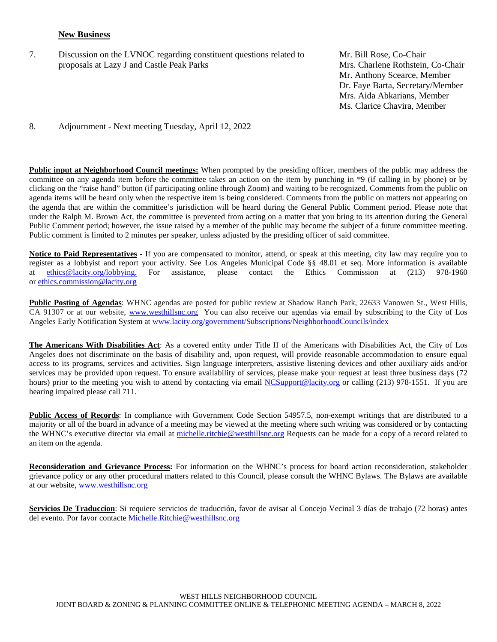#### **New Business**

7. Discussion on the LVNOC regarding constituent questions related to Mr. Bill Rose, Co-Chair proposals at Lazy J and Castle Peak Parks Mrs. Charlene Rothstein, Co-Chair

 Mr. Anthony Scearce, Member Dr. Faye Barta, Secretary/Member Mrs. Aida Abkarians, Member Ms. Clarice Chavira, Member

8. Adjournment - Next meeting Tuesday, April 12, 2022

**Public input at Neighborhood Council meetings:** When prompted by the presiding officer, members of the public may address the committee on any agenda item before the committee takes an action on the item by punching in \*9 (if calling in by phone) or by clicking on the "raise hand" button (if participating online through Zoom) and waiting to be recognized. Comments from the public on agenda items will be heard only when the respective item is being considered. Comments from the public on matters not appearing on the agenda that are within the committee's jurisdiction will be heard during the General Public Comment period. Please note that under the Ralph M. Brown Act, the committee is prevented from acting on a matter that you bring to its attention during the General Public Comment period; however, the issue raised by a member of the public may become the subject of a future committee meeting. Public comment is limited to 2 minutes per speaker, unless adjusted by the presiding officer of said committee.

**Notice to Paid Representatives -** If you are compensated to monitor, attend, or speak at this meeting, city law may require you to register as a lobbyist and report your activity. See Los Angeles Municipal Code §§ 48.01 et seq. More information is available at ethics @lacity.org/lobbying. For assistance, please contact the Ethics Commission at (213) 9 at [ethics@lacity.org/lobbying.](mailto:) For assistance, please contact the Ethics Commission at (213) 978-1960 or [ethics.commission@lacity.org](mailto:)

**Public Posting of Agendas**: WHNC agendas are posted for public review at Shadow Ranch Park, 22633 Vanowen St., West Hills, CA 91307 or at our website, [www.westhillsnc.org](http://www.westhillsnc.org/) You can also receive our agendas via email by subscribing to the City of Los Angeles Early Notification System at [www.lacity.org/government/Subscriptions/NeighborhoodCouncils/index](http://www.lacity.org/government/Subscriptions/NeighborhoodCouncils/index)

**The Americans With Disabilities Act**: As a covered entity under Title II of the Americans with Disabilities Act, the City of Los Angeles does not discriminate on the basis of disability and, upon request, will provide reasonable accommodation to ensure equal access to its programs, services and activities. Sign language interpreters, assistive listening devices and other auxiliary aids and/or services may be provided upon request. To ensure availability of services, please make your request at least three business days (72 hours) prior to the meeting you wish to attend by contacting via email [NCSupport@lacity.org](mailto:NCSupport@lacity.org) or calling (213) 978-1551. If you are hearing impaired please call 711.

**Public Access of Records**: In compliance with Government Code Section 54957.5, non-exempt writings that are distributed to a majority or all of the board in advance of a meeting may be viewed at the meeting where such writing was considered or by contacting the WHNC's executive director via email at [michelle.ritchie@westhillsnc.org](mailto:michelle.ritchie@westhillsnc.org) Requests can be made for a copy of a record related to an item on the agenda.

**Reconsideration and Grievance Process:** For information on the WHNC's process for board action reconsideration, stakeholder grievance policy or any other procedural matters related to this Council, please consult the WHNC Bylaws. The Bylaws are available at our website, [www.westhillsnc.org](http://www.westhillsnc.org/)

**Servicios De Traduccion**: Si requiere servicios de traducción, favor de avisar al Concejo Vecinal 3 días de trabajo (72 horas) antes del evento. Por favor contacte [Michelle.Ritchie@westhillsnc.org](mailto:Michelle.Ritchie@westhillsnc.org)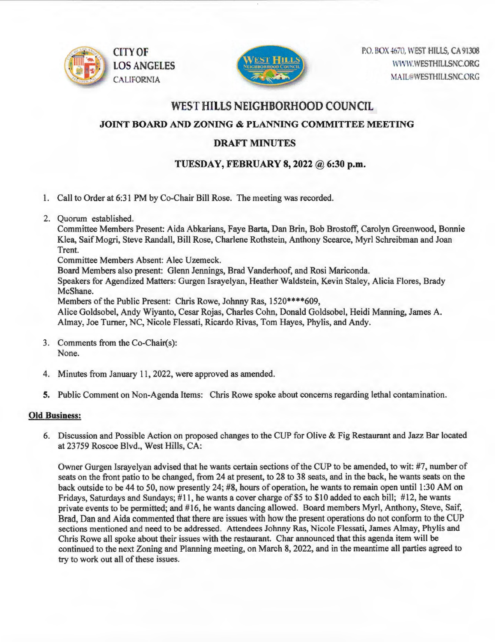



## **WEST HILLS NEIGHBORHOOD COUNCIL**

**JOINT BOARD AND ZONING & PLANNING COMMITTEE MEETING** 

## **DRAFT MINUTES**

## **TUESDAY, FEBRUARY 8, 2022 @ 6:30 p.m.**

- 1. Call to Order at 6:31 PM by Co-Chair Bill Rose. The meeting was recorded.
- 2. Quorum established.

Committee Members Present: Aida Abkarians, Faye Barta, Dan Brin, Bob Brostoff, Carolyn Greenwood, Bonnie Klea, SaifMogri, Steve Randall, Bill Rose, Charlene Rothstein, Anthony Scearce, Myrl Schreibman and Joan Trent.

Committee Members Absent: Alec Uzemeck.

Board Members also present: Glenn Jennings, Brad Vanderhoof, and Rosi Mariconda.

Speakers for Agendized Matters: Gurgen Israyelyan, Heather Waldstein, Kevin Staley, Alicia Flores, Brady McShane.

Members of the Public Present: Chris Rowe, Johnny Ras, 1520\*\*\*\*609,

Alice Goldsobel, Andy Wiyanto, Cesar Rojas, Charles Cohn, Donald Goldsobel, Heidi Manning, James A. Almay, Joe Turner, NC, Nicole Flessati, Ricardo Rivas, Tom Hayes, Phylis, and Andy.

- 3. Comments from the Co-Chair(s): None.
- 4. Minutes from January 11, 2022, were approved as amended.
- **5.** Public Comment on Non-Agenda Items: Chris Rowe spoke about concerns regarding lethal contamination.

#### **Old Business:**

6. Discussion and Possible Action on proposed changes to the CUP for Olive & Fig Restaurant and Jazz Bar located at 23759 Roscoe Blvd., West Hills, CA:

Owner Gurgen lsrayelyan advised that he wants certain sections of the CUP to be amended, to wit: #7, number of seats on the front patio to be changed, from 24 at present, to 28 to 38 seats, and in the back, he wants seats on the back outside to be 44 to 50, now presently 24; #8, hours of operation, he wants to remain open until 1:30AM on Fridays, Saturdays and Sundays; #11, he wants a cover charge of \$5 to \$10 added to each bill; #12, he wants private events to be permitted; and #16, he wants dancing allowed. Board members Myrl, Anthony, Steve, Saif, Brad, Dan and Aida commented that there are issues with how the present operations do not conform to the CUP sections mentioned and need to be addressed. Attendees Johnny Ras, Nicole Flessati, James Almay, Phylis and Chris Rowe all spoke about their issues with the restaurant. Char announced that this agenda item will be continued to the next Zoning and Planning meeting, on March 8, 2022, and in the meantime all parties agreed to try to work out all of these issues.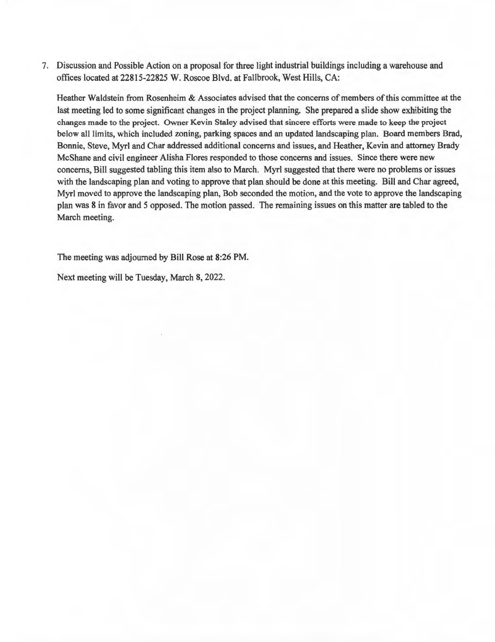7. Discussion and Possible Action on a proposal for three light industrial buildings including a warehouse and offices located at 22815-22825 W. Roscoe Blvd. at Fallbrook, West Hills, CA:

Heather Waldstein from Rosenheim & Associates advised that the concerns of members of this committee at the last meeting led to some significant changes in the project planning. She prepared a slide show exhibiting the changes made to the project. Owner Kevin Staley advised that sincere efforts were made to keep the project below all limits, which included zoning, parking spaces and an updated landscaping plan. Board members Brad, Bonnie, Steve, Myrl and Char addressed additional concerns and issues, and Heather, Kevin and attorney Brady McShane and civil engineer Alisha Flores responded to those concerns and issues. Since there were new concerns, Bill suggested tabling this item also to March. Myrl suggested that there were no problems or issues with the landscaping plan and voting to approve that plan should be done at this meeting. Bill and Char agreed, Myrl moved to approve the landscaping plan, Bob seconded the motion, and the vote to approve the landscaping plan was 8 in favor and 5 opposed. The motion passed. The remaining issues on this matter are tabled to the March meeting.

The meeting was adjourned by Bill Rose at 8:26 PM.

Next meeting will be Tuesday, March 8, 2022.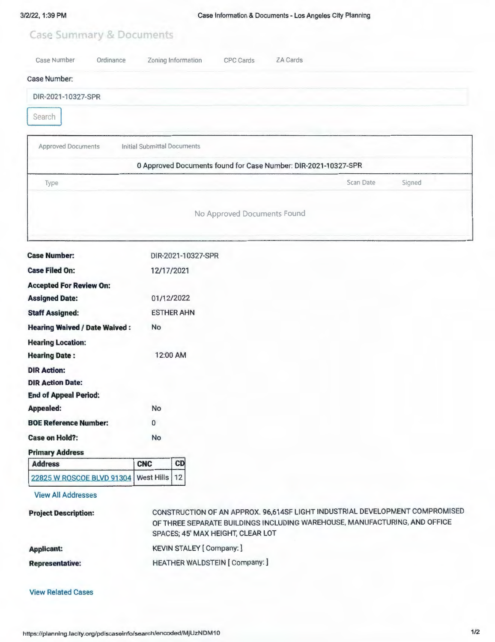# **Case Summary & Documents**

|                    | Ordinance | Zoning Information                                             | <b>CPC Cards</b>            | ZA Cards |           |        |
|--------------------|-----------|----------------------------------------------------------------|-----------------------------|----------|-----------|--------|
| Case Number:       |           |                                                                |                             |          |           |        |
| DIR-2021-10327-SPR |           |                                                                |                             |          |           |        |
| Search             |           |                                                                |                             |          |           |        |
| Approved Documents |           | <b>Initial Submittal Documents</b>                             |                             |          |           |        |
|                    |           |                                                                |                             |          |           |        |
|                    |           | 0 Approved Documents found for Case Number: DIR-2021-10327-SPR |                             |          |           |        |
| Type               |           |                                                                |                             |          | Scan Date | Signed |
|                    |           |                                                                | No Approved Documents Found |          |           |        |

| <b>Case Number:</b>                  |                   | DIR-2021-10327-SPR                                                                                                                                                                              |  |  |  |  |
|--------------------------------------|-------------------|-------------------------------------------------------------------------------------------------------------------------------------------------------------------------------------------------|--|--|--|--|
| <b>Case Filed On:</b>                | 12/17/2021        |                                                                                                                                                                                                 |  |  |  |  |
| <b>Accepted For Review On:</b>       |                   |                                                                                                                                                                                                 |  |  |  |  |
| <b>Assigned Date:</b>                | 01/12/2022        |                                                                                                                                                                                                 |  |  |  |  |
| <b>Staff Assigned:</b>               |                   | <b>ESTHER AHN</b>                                                                                                                                                                               |  |  |  |  |
| <b>Hearing Waived / Date Waived:</b> | <b>No</b>         |                                                                                                                                                                                                 |  |  |  |  |
| <b>Hearing Location:</b>             |                   |                                                                                                                                                                                                 |  |  |  |  |
| <b>Hearing Date:</b>                 | 12:00 AM          |                                                                                                                                                                                                 |  |  |  |  |
| <b>DIR Action:</b>                   |                   |                                                                                                                                                                                                 |  |  |  |  |
| <b>DIR Action Date:</b>              |                   |                                                                                                                                                                                                 |  |  |  |  |
| <b>End of Appeal Period:</b>         |                   |                                                                                                                                                                                                 |  |  |  |  |
| <b>Appealed:</b>                     | <b>No</b>         |                                                                                                                                                                                                 |  |  |  |  |
| <b>BOE Reference Number:</b>         | $\bf{0}$          |                                                                                                                                                                                                 |  |  |  |  |
| <b>Case on Hold?:</b>                | <b>No</b>         |                                                                                                                                                                                                 |  |  |  |  |
| <b>Primary Address</b>               |                   |                                                                                                                                                                                                 |  |  |  |  |
| <b>Address</b>                       | <b>CNC</b>        | <b>CD</b>                                                                                                                                                                                       |  |  |  |  |
| 22825 W ROSCOE BLVD 91304            | <b>West Hills</b> | 12                                                                                                                                                                                              |  |  |  |  |
| <b>View All Addresses</b>            |                   |                                                                                                                                                                                                 |  |  |  |  |
| <b>Project Description:</b>          |                   | CONSTRUCTION OF AN APPROX. 96,614SF LIGHT INDUSTRIAL DEVELOPMENT COMPROMISED<br>OF THREE SEPARATE BUILDINGS INCLUDING WAREHOUSE, MANUFACTURING, AND OFFICE<br>SPACES; 45' MAX HEIGHT, CLEAR LOT |  |  |  |  |

| <b>Applicant:</b> | <b>KEVIN STALEY [ Company: ]</b> |
|-------------------|----------------------------------|
|-------------------|----------------------------------|

**Representative:**  HEATHER WALDSTEIN [ Company: ]

#### View Related Cases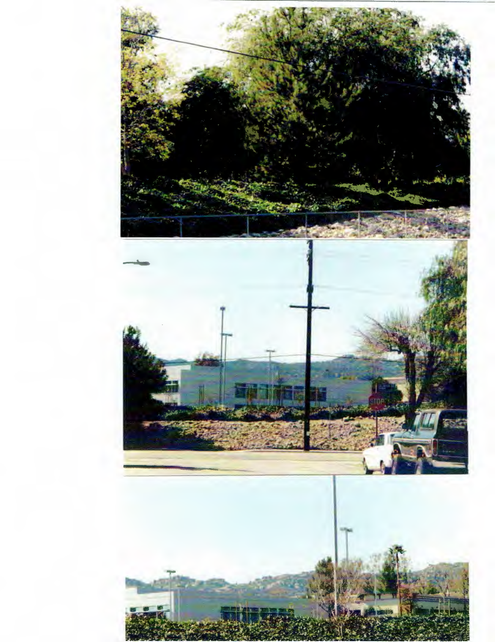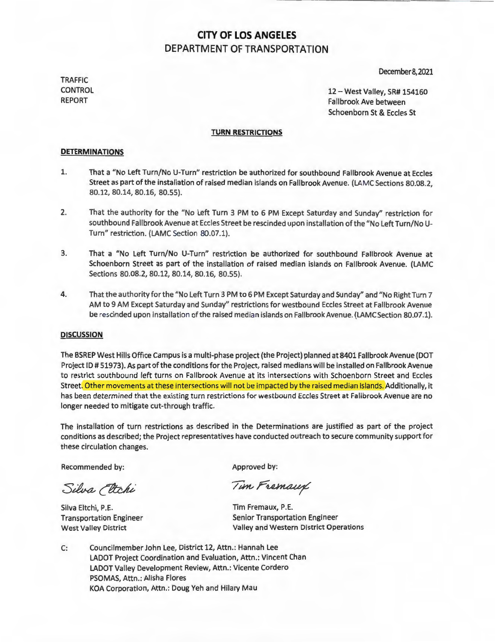# **CITY OF LOS ANGELES DEPARTMENT OF TRANSPORTATION**

December 8, 2021

TRAFFIC CONTROL REPORT

12- West Valley, SR# 154160 Fallbrook Ave between Schoenborn St & Eccles St

#### **TURN RESTRICTIONS**

#### **DETERMINATIONS**

- 1. That a "No Left Turn/No U-Turn" restriction be authorized for southbound Fallbrook Avenue at Eccles Street as part of the installation of raised median islands on Fallbrook Avenue. (LAMC Sections 80.08.2, 80.12, 80.14, 80.16, 80.55).
- 2. That the authority for the "No Left Turn 3 PM to 6 PM Except Saturday and Sunday" restriction for southbound Fallbrook Avenue at Eccles Street be rescinded upon installation of the "No Left Turn/No U-Turn" restriction. (LAMC Section 80.07.1).
- 3. That a "No Left Turn/No U-Turn" restriction be authorized for southbound Fallbrook Avenue at Schoenborn Street as part of the installation of raised median islands on Fallbrook Avenue. (LAMC Sections 80.08.2, 80.12, 80.14, 80.16, 80.55).
- 4. That the authority for the "No Left Turn 3 PM to 6 PM Except Saturday and Sunday" and "No Right Turn 7 AM to 9 AM Except Saturday and Sunday" restrictions for westbound Eccles Street at Fallbrook Avenue be rescinded upon installation of the raised median islands on Fallbrook Avenue. (LAMC Section 80.07.1).

#### **DISCUSSION**

The BSREP West Hills Office Campus is a multi-phase project (the Project) planned at 8401 Fallbrook Avenue (DOT Project ID # 51973). As part of the conditions for the Project, raised medians will be installed on Fallbrook Avenue to restrict southbound left turns on Fallbrook Avenue at its intersections with Schoenborn Street and Eccles Street. Other movements at these intersections will not be impacted by the raised median islands. Additionally, it has been determined that the existing turn restrictions for westbound Eccles Street at Fallbrook Avenue are no longer needed to mitigate cut-through traffic.

The installation of turn restrictions as described in the Determinations are justified as part of the project conditions as described; the Project representatives have conducted outreach to secure community support for these circulation changes.

Recommended by:

Silva Etchi

Silva Eltchi, P.E. Transportation Engineer West Valley District

Approved by:

Tim Fremanx

Tim Fremaux, P.E. Senior Transportation Engineer Valley and Western District Operations

C: Councilmember John Lee, District 12, Attn.: Hannah Lee LADOT Project Coordination and Evaluation, Attn.: Vincent Chan LADOT Valley Development Review, Attn.: Vicente Cordero PSOMAS, Attn.: Alisha Flores KOA Corporation, Attn.: Doug Yeh and Hilary Mau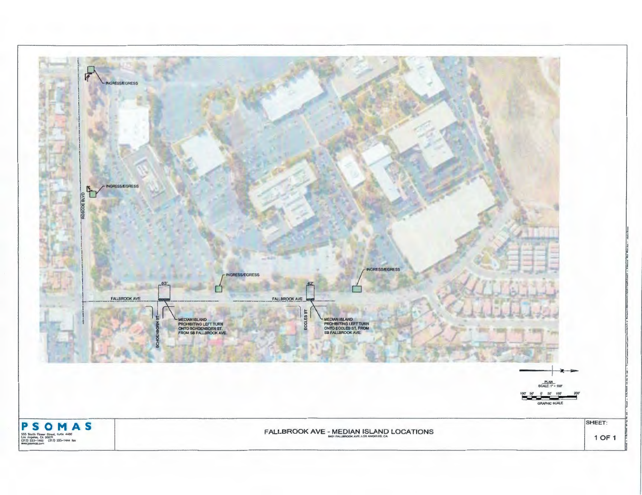